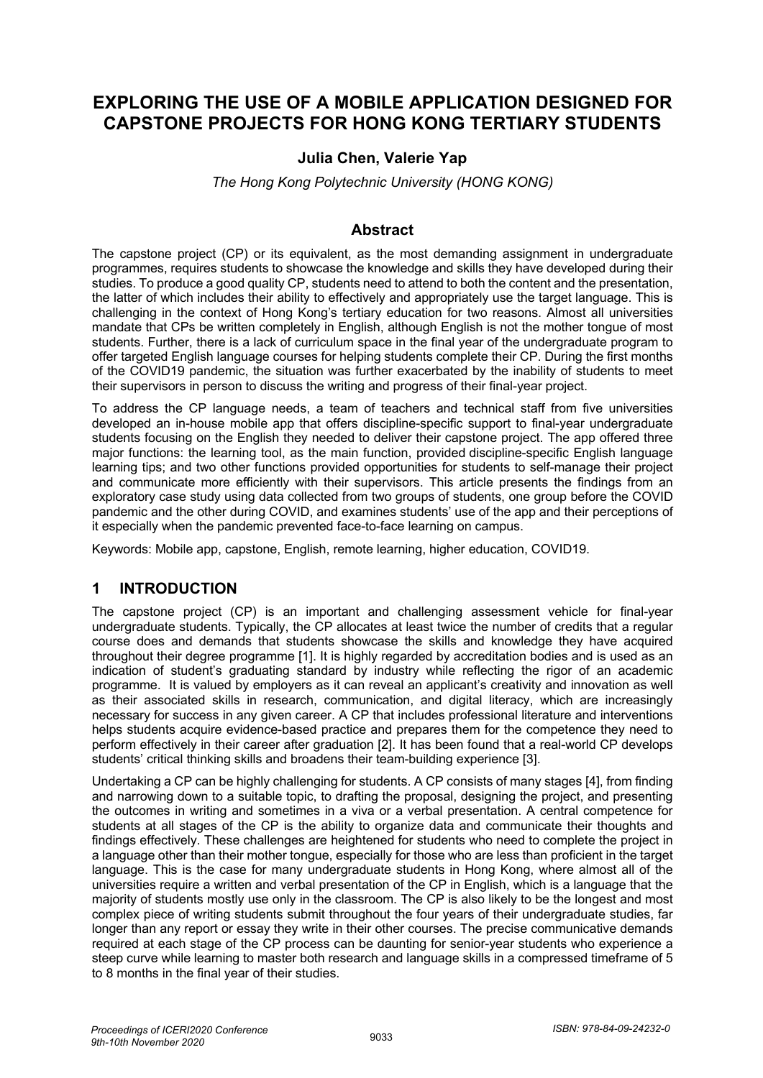# **EXPLORING THE USE OF A MOBILE APPLICATION DESIGNED FOR CAPSTONE PROJECTS FOR HONG KONG TERTIARY STUDENTS**

### **Julia Chen, Valerie Yap**

*The Hong Kong Polytechnic University (HONG KONG)*

### **Abstract**

The capstone project (CP) or its equivalent, as the most demanding assignment in undergraduate programmes, requires students to showcase the knowledge and skills they have developed during their studies. To produce a good quality CP, students need to attend to both the content and the presentation, the latter of which includes their ability to effectively and appropriately use the target language. This is challenging in the context of Hong Kong's tertiary education for two reasons. Almost all universities mandate that CPs be written completely in English, although English is not the mother tongue of most students. Further, there is a lack of curriculum space in the final year of the undergraduate program to offer targeted English language courses for helping students complete their CP. During the first months of the COVID19 pandemic, the situation was further exacerbated by the inability of students to meet their supervisors in person to discuss the writing and progress of their final-year project.

To address the CP language needs, a team of teachers and technical staff from five universities developed an in-house mobile app that offers discipline-specific support to final-year undergraduate students focusing on the English they needed to deliver their capstone project. The app offered three major functions: the learning tool, as the main function, provided discipline-specific English language learning tips; and two other functions provided opportunities for students to self-manage their project and communicate more efficiently with their supervisors. This article presents the findings from an exploratory case study using data collected from two groups of students, one group before the COVID pandemic and the other during COVID, and examines students' use of the app and their perceptions of it especially when the pandemic prevented face-to-face learning on campus.

Keywords: Mobile app, capstone, English, remote learning, higher education, COVID19.

## **1 INTRODUCTION**

The capstone project (CP) is an important and challenging assessment vehicle for final-year undergraduate students. Typically, the CP allocates at least twice the number of credits that a regular course does and demands that students showcase the skills and knowledge they have acquired throughout their degree programme [1]. It is highly regarded by accreditation bodies and is used as an indication of student's graduating standard by industry while reflecting the rigor of an academic programme. It is valued by employers as it can reveal an applicant's creativity and innovation as well as their associated skills in research, communication, and digital literacy, which are increasingly necessary for success in any given career. A CP that includes professional literature and interventions helps students acquire evidence-based practice and prepares them for the competence they need to perform effectively in their career after graduation [2]. It has been found that a real-world CP develops students' critical thinking skills and broadens their team-building experience [3].

Undertaking a CP can be highly challenging for students. A CP consists of many stages [4], from finding and narrowing down to a suitable topic, to drafting the proposal, designing the project, and presenting the outcomes in writing and sometimes in a viva or a verbal presentation. A central competence for students at all stages of the CP is the ability to organize data and communicate their thoughts and findings effectively. These challenges are heightened for students who need to complete the project in a language other than their mother tongue, especially for those who are less than proficient in the target language. This is the case for many undergraduate students in Hong Kong, where almost all of the universities require a written and verbal presentation of the CP in English, which is a language that the majority of students mostly use only in the classroom. The CP is also likely to be the longest and most complex piece of writing students submit throughout the four years of their undergraduate studies, far longer than any report or essay they write in their other courses. The precise communicative demands required at each stage of the CP process can be daunting for senior-year students who experience a steep curve while learning to master both research and language skills in a compressed timeframe of 5 to 8 months in the final year of their studies.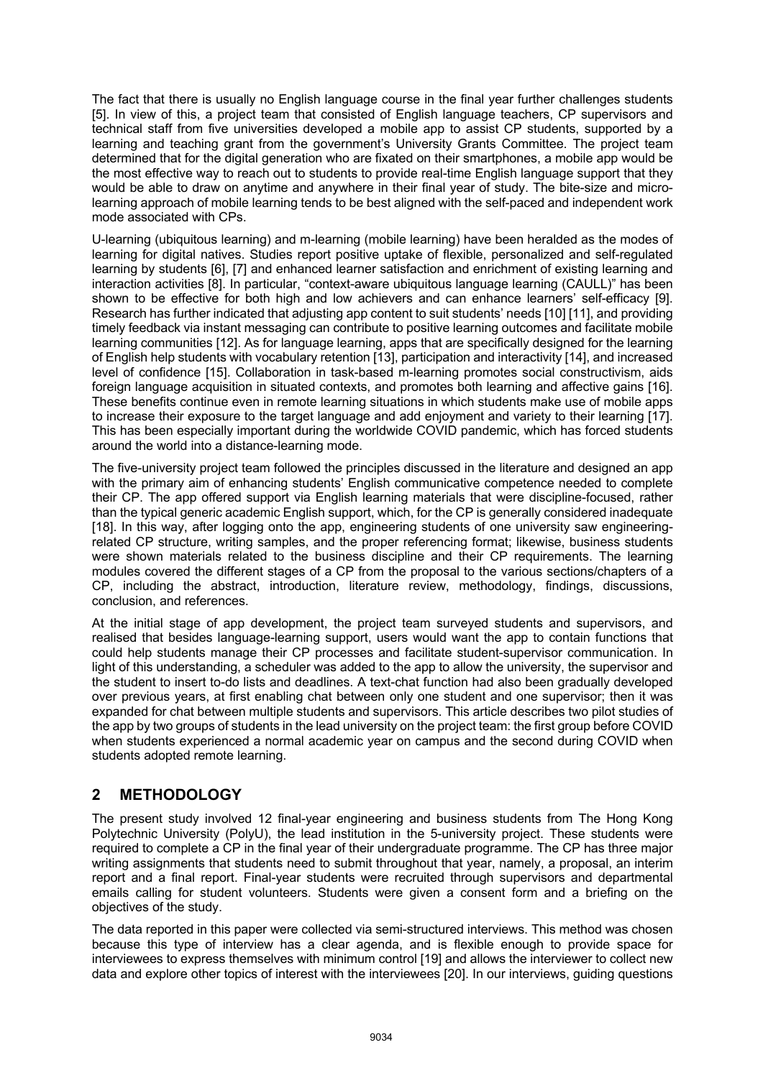The fact that there is usually no English language course in the final year further challenges students [5]. In view of this, a project team that consisted of English language teachers, CP supervisors and technical staff from five universities developed a mobile app to assist CP students, supported by a learning and teaching grant from the government's University Grants Committee. The project team determined that for the digital generation who are fixated on their smartphones, a mobile app would be the most effective way to reach out to students to provide real-time English language support that they would be able to draw on anytime and anywhere in their final year of study. The bite-size and microlearning approach of mobile learning tends to be best aligned with the self-paced and independent work mode associated with CPs.

U-learning (ubiquitous learning) and m-learning (mobile learning) have been heralded as the modes of learning for digital natives. Studies report positive uptake of flexible, personalized and self-regulated learning by students [6], [7] and enhanced learner satisfaction and enrichment of existing learning and interaction activities [8]. In particular, "context-aware ubiquitous language learning (CAULL)" has been shown to be effective for both high and low achievers and can enhance learners' self-efficacy [9]. Research has further indicated that adjusting app content to suit students' needs [10] [11], and providing timely feedback via instant messaging can contribute to positive learning outcomes and facilitate mobile learning communities [12]. As for language learning, apps that are specifically designed for the learning of English help students with vocabulary retention [13], participation and interactivity [14], and increased level of confidence [15]. Collaboration in task-based m-learning promotes social constructivism, aids foreign language acquisition in situated contexts, and promotes both learning and affective gains [16]. These benefits continue even in remote learning situations in which students make use of mobile apps to increase their exposure to the target language and add enjoyment and variety to their learning [17]. This has been especially important during the worldwide COVID pandemic, which has forced students around the world into a distance-learning mode.

The five-university project team followed the principles discussed in the literature and designed an app with the primary aim of enhancing students' English communicative competence needed to complete their CP. The app offered support via English learning materials that were discipline-focused, rather than the typical generic academic English support, which, for the CP is generally considered inadequate [18]. In this way, after logging onto the app, engineering students of one university saw engineeringrelated CP structure, writing samples, and the proper referencing format; likewise, business students were shown materials related to the business discipline and their CP requirements. The learning modules covered the different stages of a CP from the proposal to the various sections/chapters of a CP, including the abstract, introduction, literature review, methodology, findings, discussions, conclusion, and references.

At the initial stage of app development, the project team surveyed students and supervisors, and realised that besides language-learning support, users would want the app to contain functions that could help students manage their CP processes and facilitate student-supervisor communication. In light of this understanding, a scheduler was added to the app to allow the university, the supervisor and the student to insert to-do lists and deadlines. A text-chat function had also been gradually developed over previous years, at first enabling chat between only one student and one supervisor; then it was expanded for chat between multiple students and supervisors. This article describes two pilot studies of the app by two groups of students in the lead university on the project team: the first group before COVID when students experienced a normal academic year on campus and the second during COVID when students adopted remote learning.

# **2 METHODOLOGY**

The present study involved 12 final-year engineering and business students from The Hong Kong Polytechnic University (PolyU), the lead institution in the 5-university project. These students were required to complete a CP in the final year of their undergraduate programme. The CP has three major writing assignments that students need to submit throughout that year, namely, a proposal, an interim report and a final report. Final-year students were recruited through supervisors and departmental emails calling for student volunteers. Students were given a consent form and a briefing on the objectives of the study.

The data reported in this paper were collected via semi-structured interviews. This method was chosen because this type of interview has a clear agenda, and is flexible enough to provide space for interviewees to express themselves with minimum control [19] and allows the interviewer to collect new data and explore other topics of interest with the interviewees [20]. In our interviews, guiding questions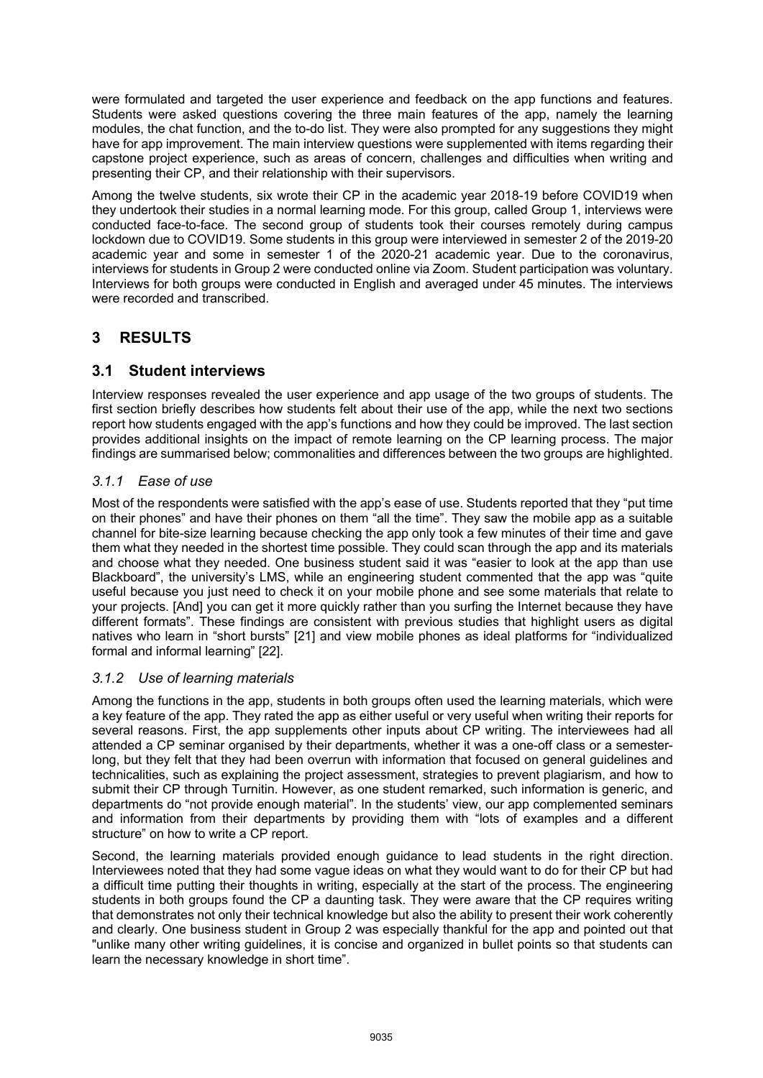were formulated and targeted the user experience and feedback on the app functions and features. Students were asked questions covering the three main features of the app, namely the learning modules, the chat function, and the to-do list. They were also prompted for any suggestions they might have for app improvement. The main interview questions were supplemented with items regarding their capstone project experience, such as areas of concern, challenges and difficulties when writing and presenting their CP, and their relationship with their supervisors.

Among the twelve students, six wrote their CP in the academic year 2018-19 before COVID19 when they undertook their studies in a normal learning mode. For this group, called Group 1, interviews were conducted face-to-face. The second group of students took their courses remotely during campus lockdown due to COVID19. Some students in this group were interviewed in semester 2 of the 2019-20 academic year and some in semester 1 of the 2020-21 academic year. Due to the coronavirus, interviews for students in Group 2 were conducted online via Zoom. Student participation was voluntary. Interviews for both groups were conducted in English and averaged under 45 minutes. The interviews were recorded and transcribed.

# **3 RESULTS**

## **3.1 Student interviews**

Interview responses revealed the user experience and app usage of the two groups of students. The first section briefly describes how students felt about their use of the app, while the next two sections report how students engaged with the app's functions and how they could be improved. The last section provides additional insights on the impact of remote learning on the CP learning process. The major findings are summarised below; commonalities and differences between the two groups are highlighted.

### *3.1.1 Ease of use*

Most of the respondents were satisfied with the app's ease of use. Students reported that they "put time on their phones" and have their phones on them "all the time". They saw the mobile app as a suitable channel for bite-size learning because checking the app only took a few minutes of their time and gave them what they needed in the shortest time possible. They could scan through the app and its materials and choose what they needed. One business student said it was "easier to look at the app than use Blackboard", the university's LMS, while an engineering student commented that the app was "quite useful because you just need to check it on your mobile phone and see some materials that relate to your projects. [And] you can get it more quickly rather than you surfing the Internet because they have different formats". These findings are consistent with previous studies that highlight users as digital natives who learn in "short bursts" [21] and view mobile phones as ideal platforms for "individualized formal and informal learning" [22].

### *3.1.2 Use of learning materials*

Among the functions in the app, students in both groups often used the learning materials, which were a key feature of the app. They rated the app as either useful or very useful when writing their reports for several reasons. First, the app supplements other inputs about CP writing. The interviewees had all attended a CP seminar organised by their departments, whether it was a one-off class or a semesterlong, but they felt that they had been overrun with information that focused on general guidelines and technicalities, such as explaining the project assessment, strategies to prevent plagiarism, and how to submit their CP through Turnitin. However, as one student remarked, such information is generic, and departments do "not provide enough material". In the students' view, our app complemented seminars and information from their departments by providing them with "lots of examples and a different structure" on how to write a CP report.

Second, the learning materials provided enough guidance to lead students in the right direction. Interviewees noted that they had some vague ideas on what they would want to do for their CP but had a difficult time putting their thoughts in writing, especially at the start of the process. The engineering students in both groups found the CP a daunting task. They were aware that the CP requires writing that demonstrates not only their technical knowledge but also the ability to present their work coherently and clearly. One business student in Group 2 was especially thankful for the app and pointed out that "unlike many other writing guidelines, it is concise and organized in bullet points so that students can learn the necessary knowledge in short time".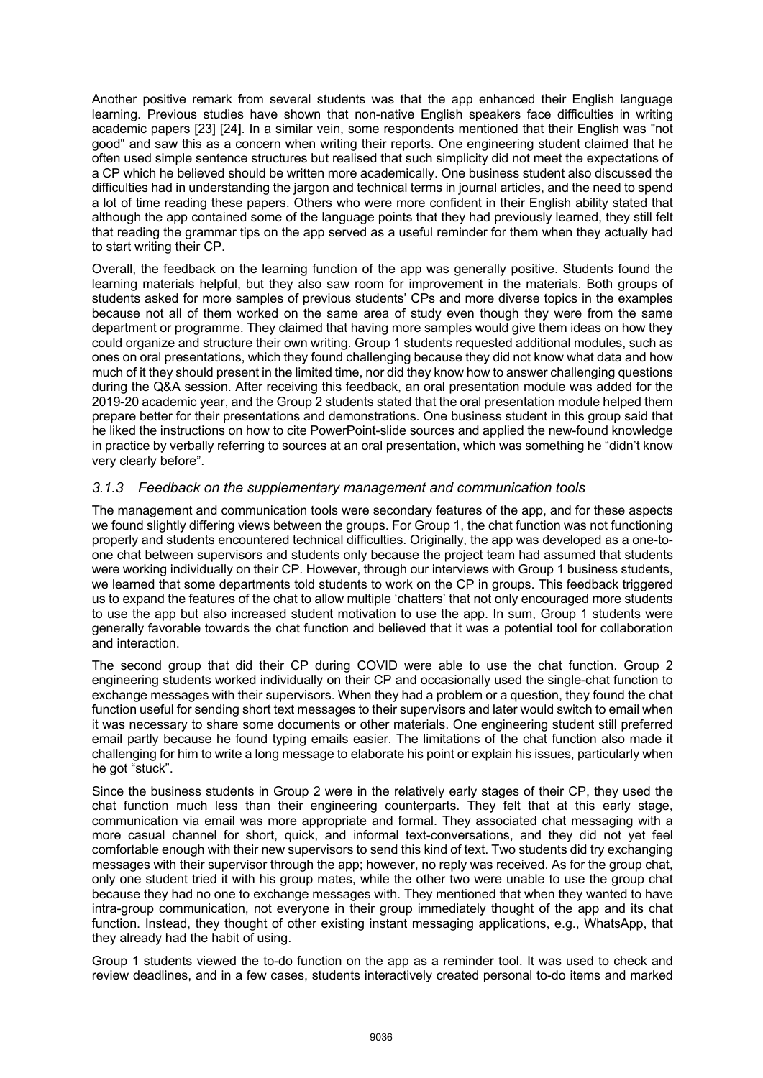Another positive remark from several students was that the app enhanced their English language learning. Previous studies have shown that non-native English speakers face difficulties in writing academic papers [23] [24]. In a similar vein, some respondents mentioned that their English was "not good" and saw this as a concern when writing their reports. One engineering student claimed that he often used simple sentence structures but realised that such simplicity did not meet the expectations of a CP which he believed should be written more academically. One business student also discussed the difficulties had in understanding the jargon and technical terms in journal articles, and the need to spend a lot of time reading these papers. Others who were more confident in their English ability stated that although the app contained some of the language points that they had previously learned, they still felt that reading the grammar tips on the app served as a useful reminder for them when they actually had to start writing their CP.

Overall, the feedback on the learning function of the app was generally positive. Students found the learning materials helpful, but they also saw room for improvement in the materials. Both groups of students asked for more samples of previous students' CPs and more diverse topics in the examples because not all of them worked on the same area of study even though they were from the same department or programme. They claimed that having more samples would give them ideas on how they could organize and structure their own writing. Group 1 students requested additional modules, such as ones on oral presentations, which they found challenging because they did not know what data and how much of it they should present in the limited time, nor did they know how to answer challenging questions during the Q&A session. After receiving this feedback, an oral presentation module was added for the 2019-20 academic year, and the Group 2 students stated that the oral presentation module helped them prepare better for their presentations and demonstrations. One business student in this group said that he liked the instructions on how to cite PowerPoint-slide sources and applied the new-found knowledge in practice by verbally referring to sources at an oral presentation, which was something he "didn't know very clearly before".

#### *3.1.3 Feedback on the supplementary management and communication tools*

The management and communication tools were secondary features of the app, and for these aspects we found slightly differing views between the groups. For Group 1, the chat function was not functioning properly and students encountered technical difficulties. Originally, the app was developed as a one-toone chat between supervisors and students only because the project team had assumed that students were working individually on their CP. However, through our interviews with Group 1 business students, we learned that some departments told students to work on the CP in groups. This feedback triggered us to expand the features of the chat to allow multiple 'chatters' that not only encouraged more students to use the app but also increased student motivation to use the app. In sum, Group 1 students were generally favorable towards the chat function and believed that it was a potential tool for collaboration and interaction.

The second group that did their CP during COVID were able to use the chat function. Group 2 engineering students worked individually on their CP and occasionally used the single-chat function to exchange messages with their supervisors. When they had a problem or a question, they found the chat function useful for sending short text messages to their supervisors and later would switch to email when it was necessary to share some documents or other materials. One engineering student still preferred email partly because he found typing emails easier. The limitations of the chat function also made it challenging for him to write a long message to elaborate his point or explain his issues, particularly when he got "stuck".

Since the business students in Group 2 were in the relatively early stages of their CP, they used the chat function much less than their engineering counterparts. They felt that at this early stage, communication via email was more appropriate and formal. They associated chat messaging with a more casual channel for short, quick, and informal text-conversations, and they did not yet feel comfortable enough with their new supervisors to send this kind of text. Two students did try exchanging messages with their supervisor through the app; however, no reply was received. As for the group chat, only one student tried it with his group mates, while the other two were unable to use the group chat because they had no one to exchange messages with. They mentioned that when they wanted to have intra-group communication, not everyone in their group immediately thought of the app and its chat function. Instead, they thought of other existing instant messaging applications, e.g., WhatsApp, that they already had the habit of using.

Group 1 students viewed the to-do function on the app as a reminder tool. It was used to check and review deadlines, and in a few cases, students interactively created personal to-do items and marked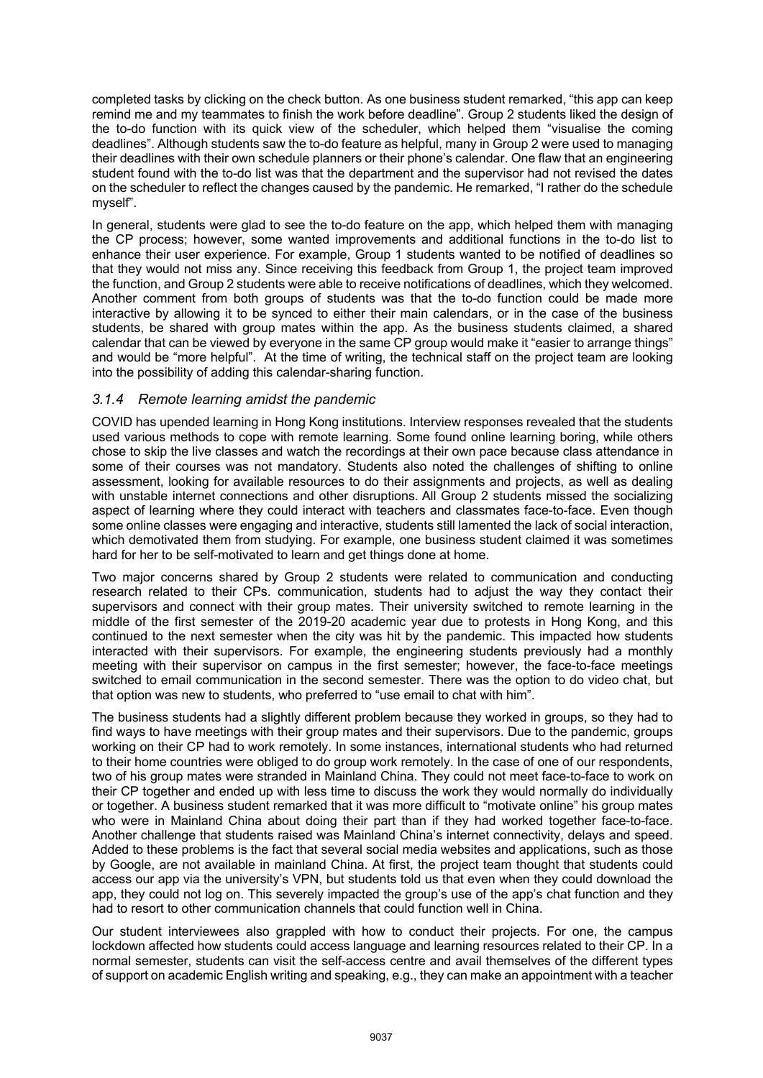completed tasks by clicking on the check button. As one business student remarked, "this app can keep remind me and my teammates to finish the work before deadline". Group 2 students liked the design of the to-do function with its quick view of the scheduler, which helped them "visualise the coming deadlines". Although students saw the to-do feature as helpful, many in Group 2 were used to managing their deadlines with their own schedule planners or their phone's calendar. One flaw that an engineering student found with the to-do list was that the department and the supervisor had not revised the dates on the scheduler to reflect the changes caused by the pandemic. He remarked, "I rather do the schedule myself".

In general, students were glad to see the to-do feature on the app, which helped them with managing the CP process; however, some wanted improvements and additional functions in the to-do list to enhance their user experience. For example, Group 1 students wanted to be notified of deadlines so that they would not miss any. Since receiving this feedback from Group 1, the project team improved the function, and Group 2 students were able to receive notifications of deadlines, which they welcomed. Another comment from both groups of students was that the to-do function could be made more interactive by allowing it to be synced to either their main calendars, or in the case of the business students, be shared with group mates within the app. As the business students claimed, a shared calendar that can be viewed by everyone in the same CP group would make it "easier to arrange things" and would be "more helpful". At the time of writing, the technical staff on the project team are looking into the possibility of adding this calendar-sharing function.

#### *3.1.4 Remote learning amidst the pandemic*

COVID has upended learning in Hong Kong institutions. Interview responses revealed that the students used various methods to cope with remote learning. Some found online learning boring, while others chose to skip the live classes and watch the recordings at their own pace because class attendance in some of their courses was not mandatory. Students also noted the challenges of shifting to online assessment, looking for available resources to do their assignments and projects, as well as dealing with unstable internet connections and other disruptions. All Group 2 students missed the socializing aspect of learning where they could interact with teachers and classmates face-to-face. Even though some online classes were engaging and interactive, students still lamented the lack of social interaction, which demotivated them from studying. For example, one business student claimed it was sometimes hard for her to be self-motivated to learn and get things done at home.

Two major concerns shared by Group 2 students were related to communication and conducting research related to their CPs. communication, students had to adjust the way they contact their supervisors and connect with their group mates. Their university switched to remote learning in the middle of the first semester of the 2019-20 academic year due to protests in Hong Kong, and this continued to the next semester when the city was hit by the pandemic. This impacted how students interacted with their supervisors. For example, the engineering students previously had a monthly meeting with their supervisor on campus in the first semester; however, the face-to-face meetings switched to email communication in the second semester. There was the option to do video chat, but that option was new to students, who preferred to "use email to chat with him".

The business students had a slightly different problem because they worked in groups, so they had to find ways to have meetings with their group mates and their supervisors. Due to the pandemic, groups working on their CP had to work remotely. In some instances, international students who had returned to their home countries were obliged to do group work remotely. In the case of one of our respondents, two of his group mates were stranded in Mainland China. They could not meet face-to-face to work on their CP together and ended up with less time to discuss the work they would normally do individually or together. A business student remarked that it was more difficult to "motivate online" his group mates who were in Mainland China about doing their part than if they had worked together face-to-face. Another challenge that students raised was Mainland China's internet connectivity, delays and speed. Added to these problems is the fact that several social media websites and applications, such as those by Google, are not available in mainland China. At first, the project team thought that students could access our app via the university's VPN, but students told us that even when they could download the app, they could not log on. This severely impacted the group's use of the app's chat function and they had to resort to other communication channels that could function well in China.

Our student interviewees also grappled with how to conduct their projects. For one, the campus lockdown affected how students could access language and learning resources related to their CP. In a normal semester, students can visit the self-access centre and avail themselves of the different types of support on academic English writing and speaking, e.g., they can make an appointment with a teacher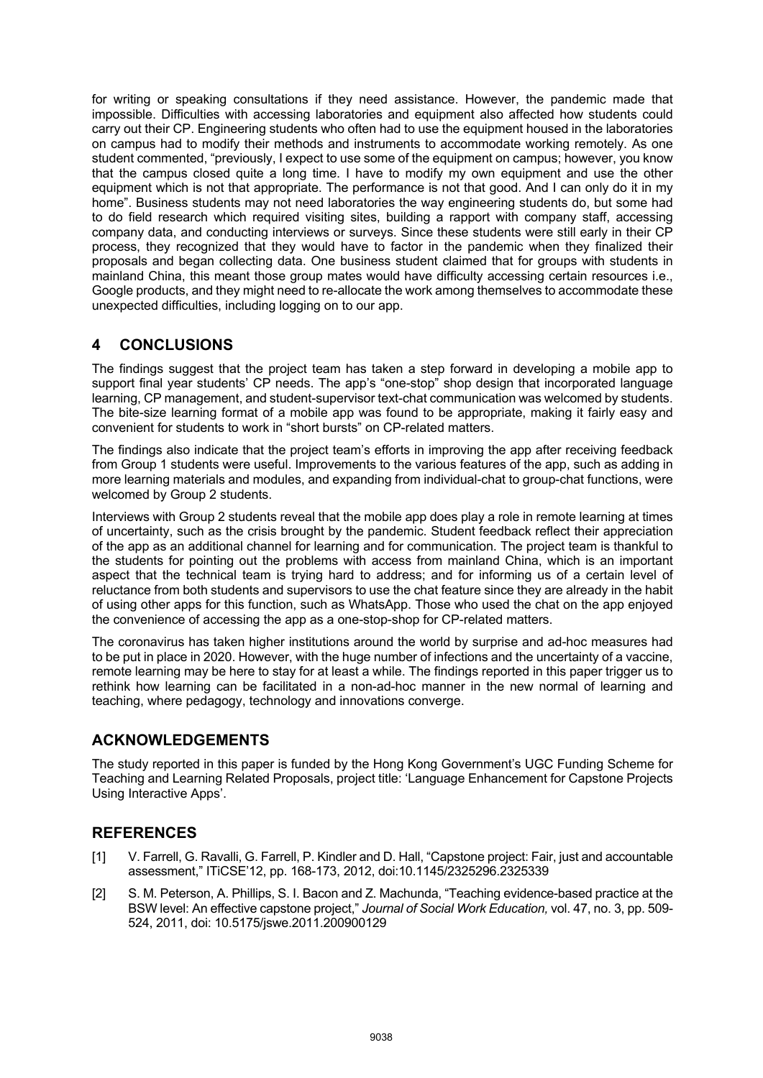for writing or speaking consultations if they need assistance. However, the pandemic made that impossible. Difficulties with accessing laboratories and equipment also affected how students could carry out their CP. Engineering students who often had to use the equipment housed in the laboratories on campus had to modify their methods and instruments to accommodate working remotely. As one student commented, "previously, I expect to use some of the equipment on campus; however, you know that the campus closed quite a long time. I have to modify my own equipment and use the other equipment which is not that appropriate. The performance is not that good. And I can only do it in my home". Business students may not need laboratories the way engineering students do, but some had to do field research which required visiting sites, building a rapport with company staff, accessing company data, and conducting interviews or surveys. Since these students were still early in their CP process, they recognized that they would have to factor in the pandemic when they finalized their proposals and began collecting data. One business student claimed that for groups with students in mainland China, this meant those group mates would have difficulty accessing certain resources i.e., Google products, and they might need to re-allocate the work among themselves to accommodate these unexpected difficulties, including logging on to our app.

# **4 CONCLUSIONS**

The findings suggest that the project team has taken a step forward in developing a mobile app to support final year students' CP needs. The app's "one-stop" shop design that incorporated language learning, CP management, and student-supervisor text-chat communication was welcomed by students. The bite-size learning format of a mobile app was found to be appropriate, making it fairly easy and convenient for students to work in "short bursts" on CP-related matters.

The findings also indicate that the project team's efforts in improving the app after receiving feedback from Group 1 students were useful. Improvements to the various features of the app, such as adding in more learning materials and modules, and expanding from individual-chat to group-chat functions, were welcomed by Group 2 students.

Interviews with Group 2 students reveal that the mobile app does play a role in remote learning at times of uncertainty, such as the crisis brought by the pandemic. Student feedback reflect their appreciation of the app as an additional channel for learning and for communication. The project team is thankful to the students for pointing out the problems with access from mainland China, which is an important aspect that the technical team is trying hard to address; and for informing us of a certain level of reluctance from both students and supervisors to use the chat feature since they are already in the habit of using other apps for this function, such as WhatsApp. Those who used the chat on the app enjoyed the convenience of accessing the app as a one-stop-shop for CP-related matters.

The coronavirus has taken higher institutions around the world by surprise and ad-hoc measures had to be put in place in 2020. However, with the huge number of infections and the uncertainty of a vaccine, remote learning may be here to stay for at least a while. The findings reported in this paper trigger us to rethink how learning can be facilitated in a non-ad-hoc manner in the new normal of learning and teaching, where pedagogy, technology and innovations converge.

## **ACKNOWLEDGEMENTS**

The study reported in this paper is funded by the Hong Kong Government's UGC Funding Scheme for Teaching and Learning Related Proposals, project title: 'Language Enhancement for Capstone Projects Using Interactive Apps'.

# **REFERENCES**

- [1] V. Farrell, G. Ravalli, G. Farrell, P. Kindler and D. Hall, "Capstone project: Fair, just and accountable assessment," ITiCSE'12, pp. 168-173, 2012, doi:10.1145/2325296.2325339
- [2] S. M. Peterson, A. Phillips, S. I. Bacon and Z. Machunda, "Teaching evidence-based practice at the BSW level: An effective capstone project," *Journal of Social Work Education,* vol. 47, no. 3, pp. 509- 524, 2011, doi: 10.5175/jswe.2011.200900129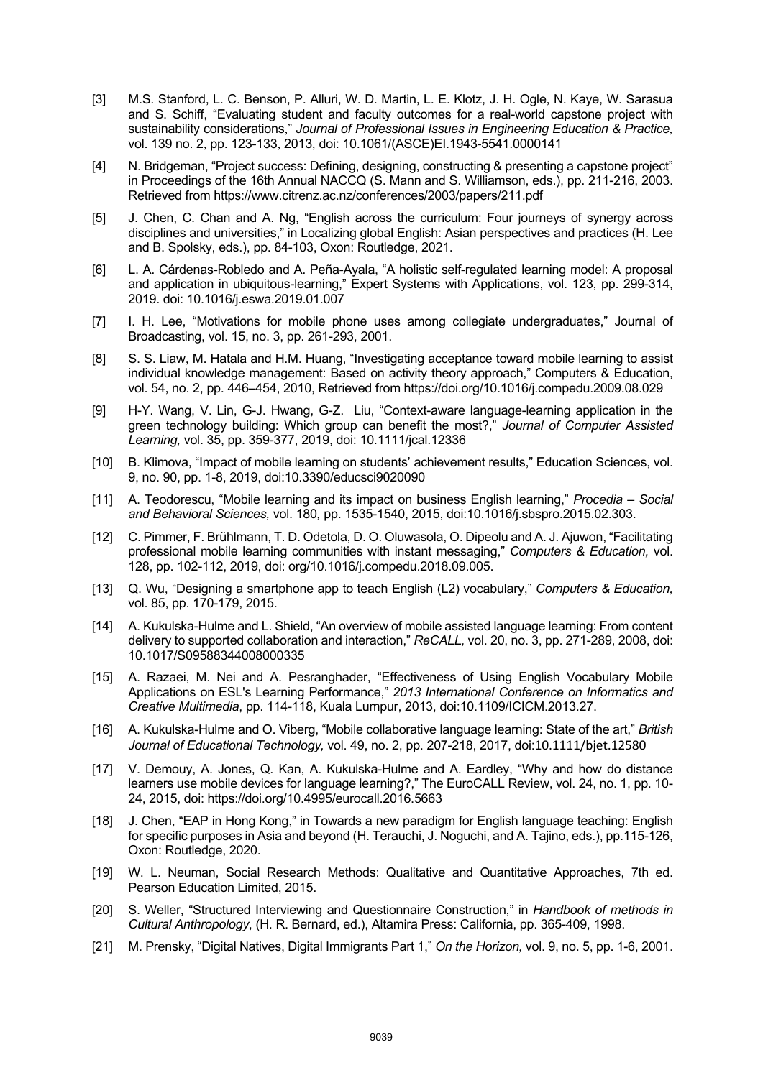- [3] M.S. Stanford, L. C. Benson, P. Alluri, W. D. Martin, L. E. Klotz, J. H. Ogle, N. Kaye, W. Sarasua and S. Schiff, "Evaluating student and faculty outcomes for a real-world capstone project with sustainability considerations," *Journal of Professional Issues in Engineering Education & Practice,*  vol. 139 no. 2, pp. 123-133, 2013, doi: 10.1061/(ASCE)EI.1943-5541.0000141
- [4] N. Bridgeman, "Project success: Defining, designing, constructing & presenting a capstone project" in Proceedings of the 16th Annual NACCQ (S. Mann and S. Williamson, eds.), pp. 211-216, 2003. Retrieved from https://www.citrenz.ac.nz/conferences/2003/papers/211.pdf
- [5] J. Chen, C. Chan and A. Ng, "English across the curriculum: Four journeys of synergy across disciplines and universities," in Localizing global English: Asian perspectives and practices (H. Lee and B. Spolsky, eds.), pp. 84-103, Oxon: Routledge, 2021.
- [6] L. A. Cárdenas-Robledo and A. Peña-Ayala, "A holistic self-regulated learning model: A proposal and application in ubiquitous-learning," Expert Systems with Applications, vol. 123, pp. 299-314, 2019. doi: 10.1016/j.eswa.2019.01.007
- [7] I. H. Lee, "Motivations for mobile phone uses among collegiate undergraduates," Journal of Broadcasting, vol. 15, no. 3, pp. 261-293, 2001.
- [8] S. S. Liaw, M. Hatala and H.M. Huang, "Investigating acceptance toward mobile learning to assist individual knowledge management: Based on activity theory approach," Computers & Education, vol. 54, no. 2, pp. 446–454, 2010, Retrieved from https://doi.org/10.1016/j.compedu.2009.08.029
- [9] H-Y. Wang, V. Lin, G-J. Hwang, G-Z. Liu, "Context-aware language-learning application in the green technology building: Which group can benefit the most?," *Journal of Computer Assisted Learning,* vol. 35, pp. 359-377, 2019, doi: 10.1111/jcal.12336
- [10] B. Klimova, "Impact of mobile learning on students' achievement results," Education Sciences, vol. 9, no. 90, pp. 1-8, 2019, doi:10.3390/educsci9020090
- [11] A. Teodorescu, "Mobile learning and its impact on business English learning," *Procedia Social and Behavioral Sciences,* vol. 180*,* pp. 1535-1540, 2015, doi:10.1016/j.sbspro.2015.02.303.
- [12] C. Pimmer, F. Brühlmann, T. D. Odetola, D. O. Oluwasola, O. Dipeolu and A. J. Ajuwon, "Facilitating professional mobile learning communities with instant messaging," *Computers & Education,* vol. 128, pp. 102-112, 2019, doi: org/10.1016/j.compedu.2018.09.005.
- [13] Q. Wu, "Designing a smartphone app to teach English (L2) vocabulary," *Computers & Education,*  vol. 85, pp. 170-179, 2015.
- [14] A. Kukulska-Hulme and L. Shield, "An overview of mobile assisted language learning: From content delivery to supported collaboration and interaction," *ReCALL,* vol. 20, no. 3, pp. 271-289, 2008, doi: 10.1017/S09588344008000335
- [15] A. Razaei, M. Nei and A. Pesranghader, "Effectiveness of Using English Vocabulary Mobile Applications on ESL's Learning Performance," *2013 International Conference on Informatics and Creative Multimedia*, pp. 114-118, Kuala Lumpur, 2013, doi:10.1109/ICICM.2013.27.
- [16] A. Kukulska-Hulme and O. Viberg, "Mobile collaborative language learning: State of the art," *British Journal of Educational Technology,* vol. 49, no. 2, pp. 207-218, 2017, doi:10.1111/bjet.12580
- [17] V. Demouy, A. Jones, Q. Kan, A. Kukulska-Hulme and A. Eardley, "Why and how do distance learners use mobile devices for language learning?," The EuroCALL Review, vol. 24, no. 1, pp. 10- 24, 2015, doi: https://doi.org/10.4995/eurocall.2016.5663
- [18] J. Chen, "EAP in Hong Kong," in Towards a new paradigm for English language teaching: English for specific purposes in Asia and beyond (H. Terauchi, J. Noguchi, and A. Tajino, eds.), pp.115-126, Oxon: Routledge, 2020.
- [19] W. L. Neuman, Social Research Methods: Qualitative and Quantitative Approaches, 7th ed. Pearson Education Limited, 2015.
- [20] S. Weller, "Structured Interviewing and Questionnaire Construction," in *Handbook of methods in Cultural Anthropology*, (H. R. Bernard, ed.), Altamira Press: California, pp. 365-409, 1998.
- [21] M. Prensky, "Digital Natives, Digital Immigrants Part 1," *On the Horizon,* vol. 9, no. 5, pp. 1-6, 2001.